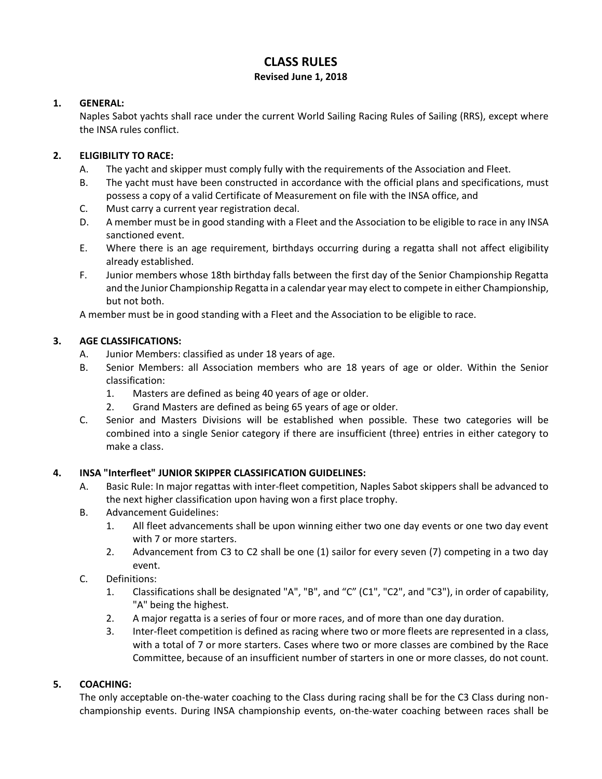# **CLASS RULES**

#### **Revised June 1, 2018**

## **1. GENERAL:**

Naples Sabot yachts shall race under the current World Sailing Racing Rules of Sailing (RRS), except where the INSA rules conflict.

## **2. ELIGIBILITY TO RACE:**

- A. The yacht and skipper must comply fully with the requirements of the Association and Fleet.
- B. The yacht must have been constructed in accordance with the official plans and specifications, must possess a copy of a valid Certificate of Measurement on file with the INSA office, and
- C. Must carry a current year registration decal.
- D. A member must be in good standing with a Fleet and the Association to be eligible to race in any INSA sanctioned event.
- E. Where there is an age requirement, birthdays occurring during a regatta shall not affect eligibility already established.
- F. Junior members whose 18th birthday falls between the first day of the Senior Championship Regatta and the Junior Championship Regatta in a calendar year may elect to compete in either Championship, but not both.

A member must be in good standing with a Fleet and the Association to be eligible to race.

## **3. AGE CLASSIFICATIONS:**

- A. Junior Members: classified as under 18 years of age.
- B. Senior Members: all Association members who are 18 years of age or older. Within the Senior classification:
	- 1. Masters are defined as being 40 years of age or older.
	- 2. Grand Masters are defined as being 65 years of age or older.
- C. Senior and Masters Divisions will be established when possible. These two categories will be combined into a single Senior category if there are insufficient (three) entries in either category to make a class.

#### **4. INSA "Interfleet" JUNIOR SKIPPER CLASSIFICATION GUIDELINES:**

- A. Basic Rule: In major regattas with inter-fleet competition, Naples Sabot skippers shall be advanced to the next higher classification upon having won a first place trophy.
- B. Advancement Guidelines:
	- 1. All fleet advancements shall be upon winning either two one day events or one two day event with 7 or more starters.
	- 2. Advancement from C3 to C2 shall be one (1) sailor for every seven (7) competing in a two day event.
- C. Definitions:
	- 1. Classifications shall be designated "A", "B", and "C" (C1", "C2", and "C3"), in order of capability, "A" being the highest.
	- 2. A major regatta is a series of four or more races, and of more than one day duration.
	- 3. Inter-fleet competition is defined as racing where two or more fleets are represented in a class, with a total of 7 or more starters. Cases where two or more classes are combined by the Race Committee, because of an insufficient number of starters in one or more classes, do not count.

# **5. COACHING:**

The only acceptable on-the-water coaching to the Class during racing shall be for the C3 Class during nonchampionship events. During INSA championship events, on-the-water coaching between races shall be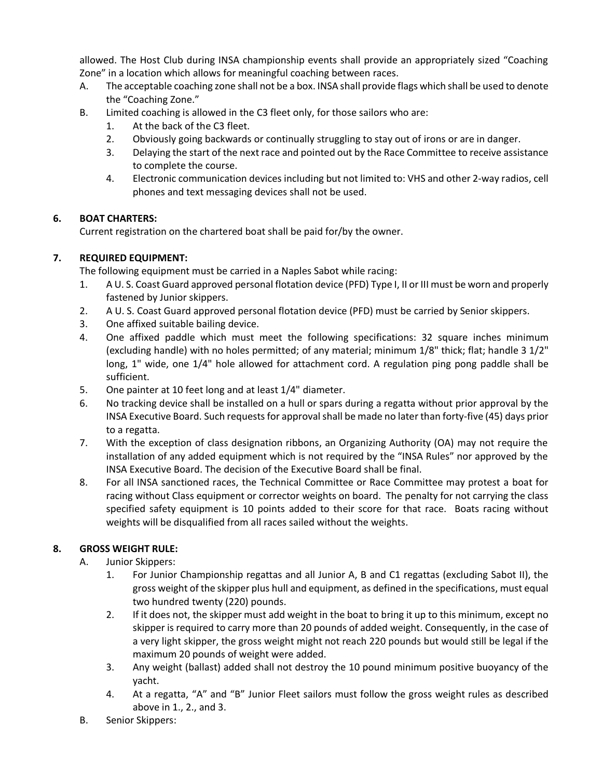allowed. The Host Club during INSA championship events shall provide an appropriately sized "Coaching Zone" in a location which allows for meaningful coaching between races.

- A. The acceptable coaching zone shall not be a box. INSA shall provide flags which shall be used to denote the "Coaching Zone."
- B. Limited coaching is allowed in the C3 fleet only, for those sailors who are:
	- 1. At the back of the C3 fleet.
	- 2. Obviously going backwards or continually struggling to stay out of irons or are in danger.
	- 3. Delaying the start of the nextrace and pointed out by the Race Committee to receive assistance to complete the course.
	- 4. Electronic communication devices including but not limited to: VHS and other 2-way radios, cell phones and text messaging devices shall not be used.

#### **6. BOAT CHARTERS:**

Current registration on the chartered boat shall be paid for/by the owner.

## **7. REQUIRED EQUIPMENT:**

The following equipment must be carried in a Naples Sabot while racing:

- 1. A U. S. Coast Guard approved personal flotation device (PFD) Type I, II or III must be worn and properly fastened by Junior skippers.
- 2. A U. S. Coast Guard approved personal flotation device (PFD) must be carried by Senior skippers.
- 3. One affixed suitable bailing device.
- 4. One affixed paddle which must meet the following specifications: 32 square inches minimum (excluding handle) with no holes permitted; of any material; minimum 1/8" thick; flat; handle 3 1/2" long, 1" wide, one 1/4" hole allowed for attachment cord. A regulation ping pong paddle shall be sufficient.
- 5. One painter at 10 feet long and at least 1/4" diameter.
- 6. No tracking device shall be installed on a hull or spars during a regatta without prior approval by the INSA Executive Board. Such requests for approval shall be made no later than forty-five (45) days prior to a regatta.
- 7. With the exception of class designation ribbons, an Organizing Authority (OA) may not require the installation of any added equipment which is not required by the "INSA Rules" nor approved by the INSA Executive Board. The decision of the Executive Board shall be final.
- 8. For all INSA sanctioned races, the Technical Committee or Race Committee may protest a boat for racing without Class equipment or corrector weights on board. The penalty for not carrying the class specified safety equipment is 10 points added to their score for that race. Boats racing without weights will be disqualified from all races sailed without the weights.

# **8. GROSS WEIGHT RULE:**

- A. Junior Skippers:
	- 1. For Junior Championship regattas and all Junior A, B and C1 regattas (excluding Sabot II), the gross weight of the skipper plus hull and equipment, as defined in the specifications, must equal two hundred twenty (220) pounds.
	- 2. If it does not, the skipper must add weight in the boat to bring it up to this minimum, except no skipper is required to carry more than 20 pounds of added weight. Consequently, in the case of a very light skipper, the gross weight might not reach 220 pounds but would still be legal if the maximum 20 pounds of weight were added.
	- 3. Any weight (ballast) added shall not destroy the 10 pound minimum positive buoyancy of the yacht.
	- 4. At a regatta, "A" and "B" Junior Fleet sailors must follow the gross weight rules as described above in 1., 2., and 3.
- B. Senior Skippers: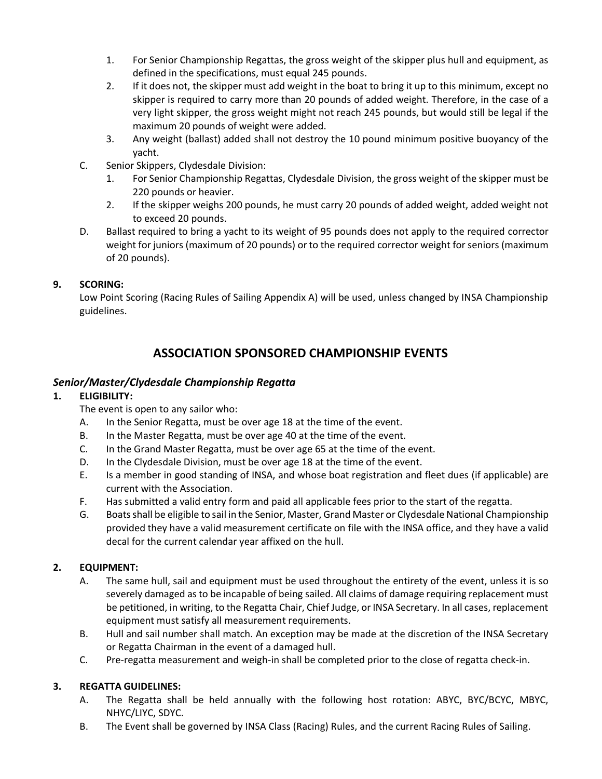- 1. For Senior Championship Regattas, the gross weight of the skipper plus hull and equipment, as defined in the specifications, must equal 245 pounds.
- 2. If it does not, the skipper must add weight in the boat to bring it up to this minimum, except no skipper is required to carry more than 20 pounds of added weight. Therefore, in the case of a very light skipper, the gross weight might not reach 245 pounds, but would still be legal if the maximum 20 pounds of weight were added.
- 3. Any weight (ballast) added shall not destroy the 10 pound minimum positive buoyancy of the yacht.
- C. Senior Skippers, Clydesdale Division:
	- 1. For Senior Championship Regattas, Clydesdale Division, the gross weight of the skipper must be 220 pounds or heavier.
	- 2. If the skipper weighs 200 pounds, he must carry 20 pounds of added weight, added weight not to exceed 20 pounds.
- D. Ballast required to bring a yacht to its weight of 95 pounds does not apply to the required corrector weight for juniors (maximum of 20 pounds) or to the required corrector weight for seniors (maximum of 20 pounds).

#### **9. SCORING:**

Low Point Scoring (Racing Rules of Sailing Appendix A) will be used, unless changed by INSA Championship guidelines.

# **ASSOCIATION SPONSORED CHAMPIONSHIP EVENTS**

## *Senior/Master/Clydesdale Championship Regatta*

## **1. ELIGIBILITY:**

The event is open to any sailor who:

- A. In the Senior Regatta, must be over age 18 at the time of the event.
- B. In the Master Regatta, must be over age 40 at the time of the event.
- C. In the Grand Master Regatta, must be over age 65 at the time of the event.
- D. In the Clydesdale Division, must be over age 18 at the time of the event.
- E. Is a member in good standing of INSA, and whose boat registration and fleet dues (if applicable) are current with the Association.
- F. Has submitted a valid entry form and paid all applicable fees prior to the start of the regatta.
- G. Boatsshall be eligible to sail in the Senior, Master, Grand Master or Clydesdale National Championship provided they have a valid measurement certificate on file with the INSA office, and they have a valid decal for the current calendar year affixed on the hull.

# **2. EQUIPMENT:**

- A. The same hull, sail and equipment must be used throughout the entirety of the event, unless it is so severely damaged as to be incapable of being sailed. All claims of damage requiring replacement must be petitioned, in writing, to the Regatta Chair, Chief Judge, or INSA Secretary. In all cases, replacement equipment must satisfy all measurement requirements.
- B. Hull and sail number shall match. An exception may be made at the discretion of the INSA Secretary or Regatta Chairman in the event of a damaged hull.
- C. Pre-regatta measurement and weigh-in shall be completed prior to the close of regatta check-in.

# **3. REGATTA GUIDELINES:**

- A. The Regatta shall be held annually with the following host rotation: ABYC, BYC/BCYC, MBYC, NHYC/LIYC, SDYC.
- B. The Event shall be governed by INSA Class (Racing) Rules, and the current Racing Rules of Sailing.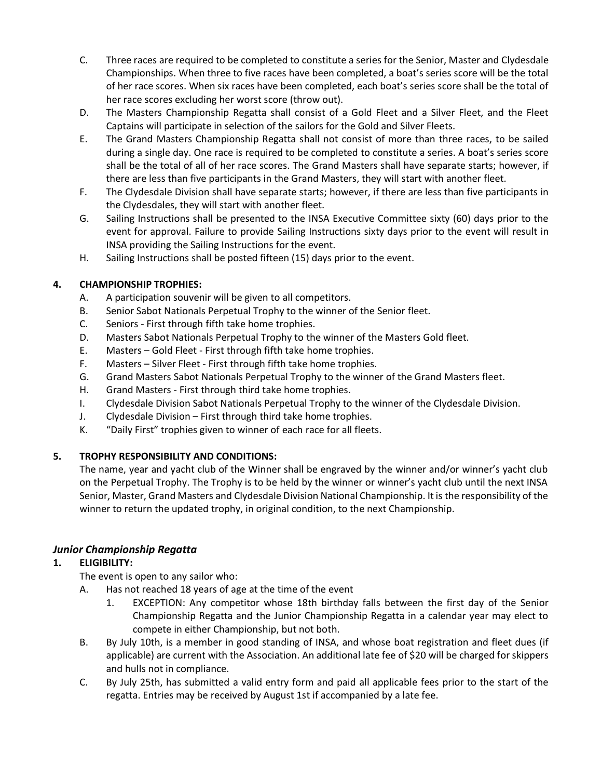- C. Three races are required to be completed to constitute a series for the Senior, Master and Clydesdale Championships. When three to five races have been completed, a boat's series score will be the total of her race scores. When six races have been completed, each boat's series score shall be the total of her race scores excluding her worst score (throw out).
- D. The Masters Championship Regatta shall consist of a Gold Fleet and a Silver Fleet, and the Fleet Captains will participate in selection of the sailors for the Gold and Silver Fleets.
- E. The Grand Masters Championship Regatta shall not consist of more than three races, to be sailed during a single day. One race is required to be completed to constitute a series. A boat's series score shall be the total of all of her race scores. The Grand Masters shall have separate starts; however, if there are less than five participants in the Grand Masters, they will start with another fleet.
- F. The Clydesdale Division shall have separate starts; however, if there are less than five participants in the Clydesdales, they will start with another fleet.
- G. Sailing Instructions shall be presented to the INSA Executive Committee sixty (60) days prior to the event for approval. Failure to provide Sailing Instructions sixty days prior to the event will result in INSA providing the Sailing Instructions for the event.
- H. Sailing Instructions shall be posted fifteen (15) days prior to the event.

## **4. CHAMPIONSHIP TROPHIES:**

- A. A participation souvenir will be given to all competitors.
- B. Senior Sabot Nationals Perpetual Trophy to the winner of the Senior fleet.
- C. Seniors First through fifth take home trophies.
- D. Masters Sabot Nationals Perpetual Trophy to the winner of the Masters Gold fleet.
- E. Masters Gold Fleet First through fifth take home trophies.
- F. Masters Silver Fleet First through fifth take home trophies.
- G. Grand Masters Sabot Nationals Perpetual Trophy to the winner of the Grand Masters fleet.
- H. Grand Masters First through third take home trophies.
- I. Clydesdale Division Sabot Nationals Perpetual Trophy to the winner of the Clydesdale Division.
- J. Clydesdale Division First through third take home trophies.
- K. "Daily First" trophies given to winner of each race for all fleets.

#### **5. TROPHY RESPONSIBILITY AND CONDITIONS:**

The name, year and yacht club of the Winner shall be engraved by the winner and/or winner's yacht club on the Perpetual Trophy. The Trophy is to be held by the winner or winner's yacht club until the next INSA Senior, Master, Grand Masters and Clydesdale Division National Championship. It is the responsibility of the winner to return the updated trophy, in original condition, to the next Championship.

# *Junior Championship Regatta*

#### **1. ELIGIBILITY:**

The event is open to any sailor who:

- A. Has not reached 18 years of age at the time of the event
	- 1. EXCEPTION: Any competitor whose 18th birthday falls between the first day of the Senior Championship Regatta and the Junior Championship Regatta in a calendar year may elect to compete in either Championship, but not both.
- B. By July 10th, is a member in good standing of INSA, and whose boat registration and fleet dues (if applicable) are current with the Association. An additional late fee of \$20 will be charged for skippers and hulls not in compliance.
- C. By July 25th, has submitted a valid entry form and paid all applicable fees prior to the start of the regatta. Entries may be received by August 1st if accompanied by a late fee.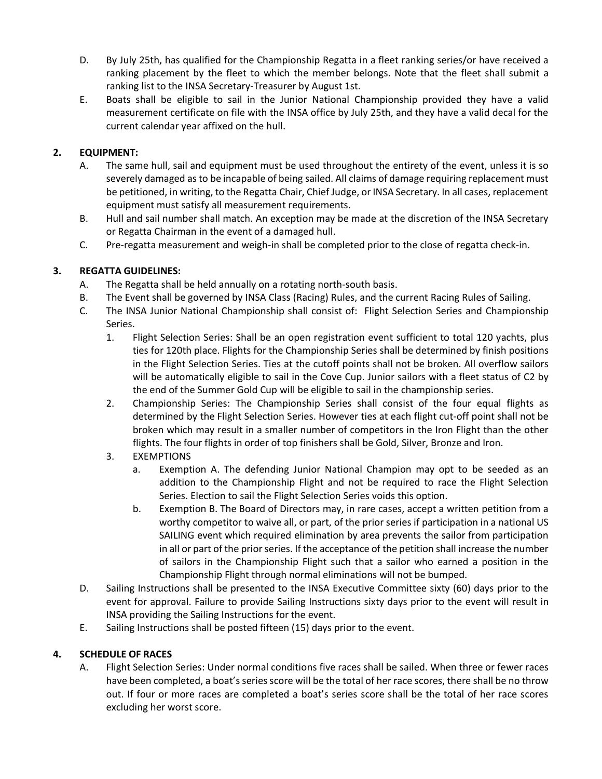- D. By July 25th, has qualified for the Championship Regatta in a fleet ranking series/or have received a ranking placement by the fleet to which the member belongs. Note that the fleet shall submit a ranking list to the INSA Secretary-Treasurer by August 1st.
- E. Boats shall be eligible to sail in the Junior National Championship provided they have a valid measurement certificate on file with the INSA office by July 25th, and they have a valid decal for the current calendar year affixed on the hull.

## **2. EQUIPMENT:**

- A. The same hull, sail and equipment must be used throughout the entirety of the event, unless it is so severely damaged as to be incapable of being sailed. All claims of damage requiring replacement must be petitioned, in writing, to the Regatta Chair, Chief Judge, or INSA Secretary. In all cases, replacement equipment must satisfy all measurement requirements.
- B. Hull and sail number shall match. An exception may be made at the discretion of the INSA Secretary or Regatta Chairman in the event of a damaged hull.
- C. Pre-regatta measurement and weigh-in shall be completed prior to the close of regatta check-in.

## **3. REGATTA GUIDELINES:**

- A. The Regatta shall be held annually on a rotating north-south basis.
- B. The Event shall be governed by INSA Class (Racing) Rules, and the current Racing Rules of Sailing.
- C. The INSA Junior National Championship shall consist of: Flight Selection Series and Championship Series.
	- 1. Flight Selection Series: Shall be an open registration event sufficient to total 120 yachts, plus ties for 120th place. Flights for the Championship Series shall be determined by finish positions in the Flight Selection Series. Ties at the cutoff points shall not be broken. All overflow sailors will be automatically eligible to sail in the Cove Cup. Junior sailors with a fleet status of C2 by the end of the Summer Gold Cup will be eligible to sail in the championship series.
	- 2. Championship Series: The Championship Series shall consist of the four equal flights as determined by the Flight Selection Series. However ties at each flight cut-off point shall not be broken which may result in a smaller number of competitors in the Iron Flight than the other flights. The four flights in order of top finishers shall be Gold, Silver, Bronze and Iron.
	- 3. EXEMPTIONS
		- a. Exemption A. The defending Junior National Champion may opt to be seeded as an addition to the Championship Flight and not be required to race the Flight Selection Series. Election to sail the Flight Selection Series voids this option.
		- b. Exemption B. The Board of Directors may, in rare cases, accept a written petition from a worthy competitor to waive all, or part, of the prior series if participation in a national US SAILING event which required elimination by area prevents the sailor from participation in all or part of the prior series. If the acceptance of the petition shall increase the number of sailors in the Championship Flight such that a sailor who earned a position in the Championship Flight through normal eliminations will not be bumped.
- D. Sailing Instructions shall be presented to the INSA Executive Committee sixty (60) days prior to the event for approval. Failure to provide Sailing Instructions sixty days prior to the event will result in INSA providing the Sailing Instructions for the event.
- E. Sailing Instructions shall be posted fifteen (15) days prior to the event.

#### **4. SCHEDULE OF RACES**

A. Flight Selection Series: Under normal conditions five races shall be sailed. When three or fewer races have been completed, a boat's series score will be the total of her race scores, there shall be no throw out. If four or more races are completed a boat's series score shall be the total of her race scores excluding her worst score.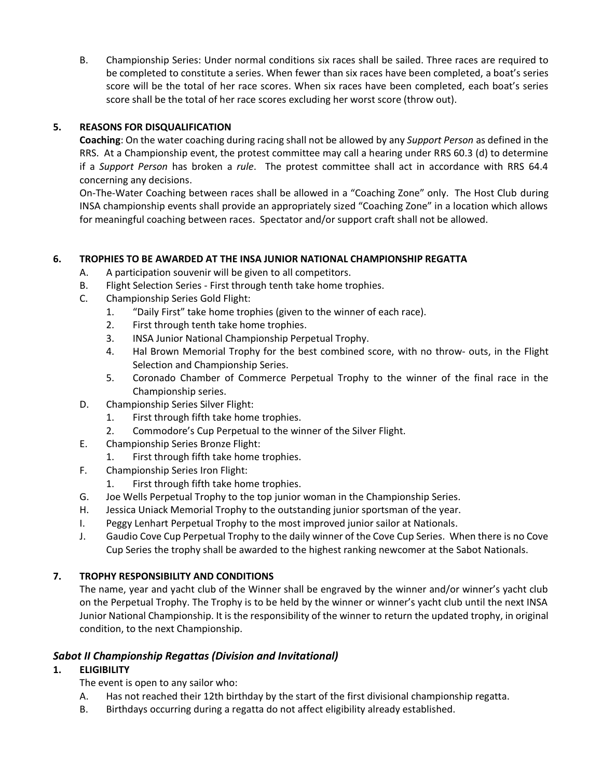B. Championship Series: Under normal conditions six races shall be sailed. Three races are required to be completed to constitute a series. When fewer than six races have been completed, a boat's series score will be the total of her race scores. When six races have been completed, each boat's series score shall be the total of her race scores excluding her worst score (throw out).

#### **5. REASONS FOR DISQUALIFICATION**

**Coaching**: On the water coaching during racing shall not be allowed by any *Support Person* as defined in the RRS. At a Championship event, the protest committee may call a hearing under RRS 60.3 (d) to determine if a *Support Person* has broken a *rule*. The protest committee shall act in accordance with RRS 64.4 concerning any decisions.

On-The-Water Coaching between races shall be allowed in a "Coaching Zone" only. The Host Club during INSA championship events shall provide an appropriately sized "Coaching Zone" in a location which allows for meaningful coaching between races. Spectator and/or support craft shall not be allowed.

#### **6. TROPHIES TO BE AWARDED AT THE INSA JUNIOR NATIONAL CHAMPIONSHIP REGATTA**

- A. A participation souvenir will be given to all competitors.
- B. Flight Selection Series First through tenth take home trophies.
- C. Championship Series Gold Flight:
	- 1. "Daily First" take home trophies (given to the winner of each race).
	- 2. First through tenth take home trophies.
	- 3. INSA Junior National Championship Perpetual Trophy.
	- 4. Hal Brown Memorial Trophy for the best combined score, with no throw- outs, in the Flight Selection and Championship Series.
	- 5. Coronado Chamber of Commerce Perpetual Trophy to the winner of the final race in the Championship series.
- D. Championship Series Silver Flight:
	- 1. First through fifth take home trophies.
	- 2. Commodore's Cup Perpetual to the winner of the Silver Flight.
- E. Championship Series Bronze Flight:
	- 1. First through fifth take home trophies.
- F. Championship Series Iron Flight:
	- 1. First through fifth take home trophies.
- G. Joe Wells Perpetual Trophy to the top junior woman in the Championship Series.
- H. Jessica Uniack Memorial Trophy to the outstanding junior sportsman of the year.
- I. Peggy Lenhart Perpetual Trophy to the most improved junior sailor at Nationals.
- J. Gaudio Cove Cup Perpetual Trophy to the daily winner of the Cove Cup Series. When there is no Cove Cup Series the trophy shall be awarded to the highest ranking newcomer at the Sabot Nationals.

#### **7. TROPHY RESPONSIBILITY AND CONDITIONS**

The name, year and yacht club of the Winner shall be engraved by the winner and/or winner's yacht club on the Perpetual Trophy. The Trophy is to be held by the winner or winner's yacht club until the next INSA Junior National Championship. It is the responsibility of the winner to return the updated trophy, in original condition, to the next Championship.

#### *Sabot II Championship Regattas (Division and Invitational)*

#### **1. ELIGIBILITY**

The event is open to any sailor who:

- A. Has not reached their 12th birthday by the start of the first divisional championship regatta.
- B. Birthdays occurring during a regatta do not affect eligibility already established.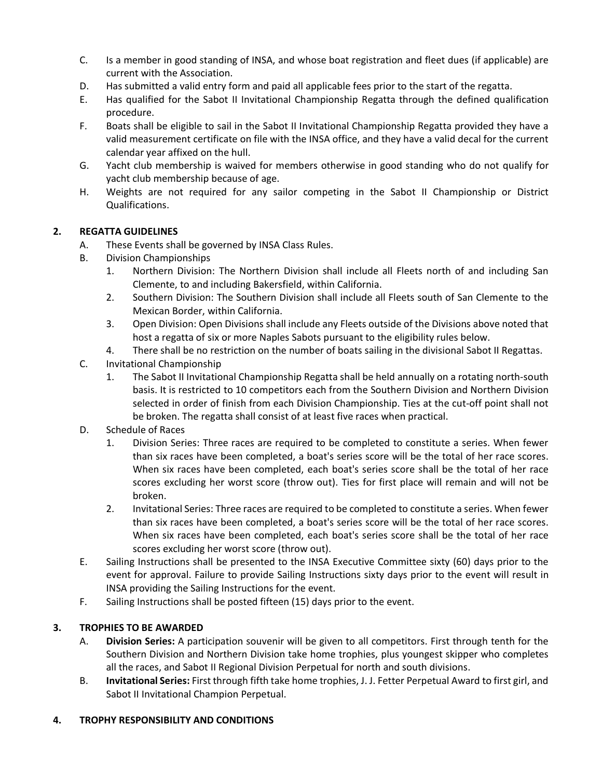- C. Is a member in good standing of INSA, and whose boat registration and fleet dues (if applicable) are current with the Association.
- D. Has submitted a valid entry form and paid all applicable fees prior to the start of the regatta.
- E. Has qualified for the Sabot II Invitational Championship Regatta through the defined qualification procedure.
- F. Boats shall be eligible to sail in the Sabot II Invitational Championship Regatta provided they have a valid measurement certificate on file with the INSA office, and they have a valid decal for the current calendar year affixed on the hull.
- G. Yacht club membership is waived for members otherwise in good standing who do not qualify for yacht club membership because of age.
- H. Weights are not required for any sailor competing in the Sabot II Championship or District Qualifications.

#### **2. REGATTA GUIDELINES**

- A. These Events shall be governed by INSA Class Rules.
- B. Division Championships
	- 1. Northern Division: The Northern Division shall include all Fleets north of and including San Clemente, to and including Bakersfield, within California.
	- 2. Southern Division: The Southern Division shall include all Fleets south of San Clemente to the Mexican Border, within California.
	- 3. Open Division: Open Divisions shall include any Fleets outside of the Divisions above noted that host a regatta of six or more Naples Sabots pursuant to the eligibility rules below.
	- 4. There shall be no restriction on the number of boats sailing in the divisional Sabot II Regattas.
- C. Invitational Championship
	- 1. The Sabot II Invitational Championship Regatta shall be held annually on a rotating north-south basis. It is restricted to 10 competitors each from the Southern Division and Northern Division selected in order of finish from each Division Championship. Ties at the cut-off point shall not be broken. The regatta shall consist of at least five races when practical.
- D. Schedule of Races
	- 1. Division Series: Three races are required to be completed to constitute a series. When fewer than six races have been completed, a boat's series score will be the total of her race scores. When six races have been completed, each boat's series score shall be the total of her race scores excluding her worst score (throw out). Ties for first place will remain and will not be broken.
	- 2. Invitational Series: Three races are required to be completed to constitute a series. When fewer than six races have been completed, a boat's series score will be the total of her race scores. When six races have been completed, each boat's series score shall be the total of her race scores excluding her worst score (throw out).
- E. Sailing Instructions shall be presented to the INSA Executive Committee sixty (60) days prior to the event for approval. Failure to provide Sailing Instructions sixty days prior to the event will result in INSA providing the Sailing Instructions for the event.
- F. Sailing Instructions shall be posted fifteen (15) days prior to the event.

#### **3. TROPHIES TO BE AWARDED**

- A. **Division Series:** A participation souvenir will be given to all competitors. First through tenth for the Southern Division and Northern Division take home trophies, plus youngest skipper who completes all the races, and Sabot II Regional Division Perpetual for north and south divisions.
- B. **Invitational Series:** First through fifth take home trophies, J. J. Fetter Perpetual Award to first girl, and Sabot II Invitational Champion Perpetual.

#### **4. TROPHY RESPONSIBILITY AND CONDITIONS**